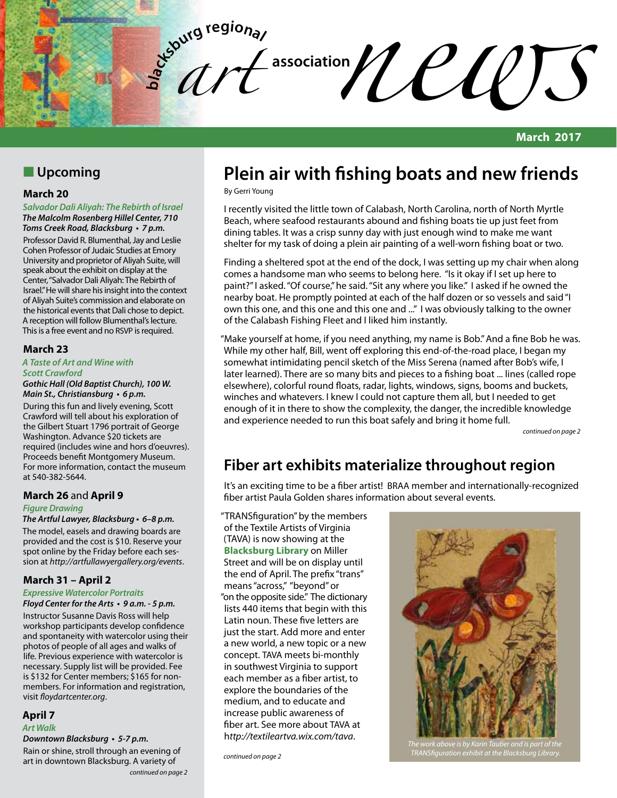

## **N** Upcoming

### **March 20**

*Salvador Dali Aliyah: The Rebirth of Israel The Malcolm Rosenberg Hillel Center, 710* 

**Toms Creek Road, Blacksburg • 7 p.m.** Professor David R. Blumenthal, Jay and Leslie Cohen Professor of Judaic Studies at Emory University and proprietor of Aliyah Suite, will speak about the exhibit on display at the Center, "Salvador Dali Aliyah: The Rebirth of Israel." He will share his insight into the context of Aliyah Suite's commission and elaborate on the historical events that Dali chose to depict. A reception will follow Blumenthal's lecture. This is a free event and no RSVP is required.

### **March 23**

#### *A Taste of Art and Wine with Scott Crawford*

#### **Gothic Hall (Old Baptist Church), 100 W. Main St., Christiansburg • 6 p.m.**

During this fun and lively evening, Scott Crawford will tell about his exploration of the Gilbert Stuart 1796 portrait of George Washington. Advance \$20 tickets are required (includes wine and hors d'oeuvres). Proceeds benefit Montgomery Museum. For more information, contact the museum at 540-382-5644.

## **March 26** and **April 9**

### *Figure Drawing*

#### **The Artful Lawyer, Blacksburg • 6–8 p.m.**

The model, easels and drawing boards are provided and the cost is \$10. Reserve your spot online by the Friday before each session at *http://artfullawyergallery.org/events*.

## **March 31 – April 2**

### **Expressive Watercolor Portraits**

**Floyd Center for the Arts • 9 a.m. - 5 p.m.**

Instructor Susanne Davis Ross will help workshop participants develop confidence and spontaneity with watercolor using their photos of people of all ages and walks of life. Previous experience with watercolor is necessary. Supply list will be provided. Fee is \$132 for Center members; \$165 for nonmembers. For information and registration, visit *floydartcenter.org*.

## **April 7**

## *Art Walk*

**Downtown Blacksburg • 5-7 p.m.**

Rain or shine, stroll through an evening of art in downtown Blacksburg. A variety of

#### *continued on page 2*

# **Plein air with fishing boats and new friends**

By Gerri Young

I recently visited the little town of Calabash, North Carolina, north of North Myrtle Beach, where seafood restaurants abound and fishing boats tie up just feet from dining tables. It was a crisp sunny day with just enough wind to make me want shelter for my task of doing a plein air painting of a well-worn fishing boat or two.

Finding a sheltered spot at the end of the dock, I was setting up my chair when along comes a handsome man who seems to belong here. "Is it okay if I set up here to paint?" I asked. "Of course," he said. "Sit any where you like." I asked if he owned the nearby boat. He promptly pointed at each of the half dozen or so vessels and said "I own this one, and this one and this one and ..." I was obviously talking to the owner of the Calabash Fishing Fleet and I liked him instantly.

"Make yourself at home, if you need anything, my name is Bob." And a fine Bob he was. While my other half, Bill, went off exploring this end-of-the-road place, I began my somewhat intimidating pencil sketch of the Miss Serena (named after Bob's wife, I later learned). There are so many bits and pieces to a fishing boat ... lines (called rope elsewhere), colorful round floats, radar, lights, windows, signs, booms and buckets, winches and whatevers. I knew I could not capture them all, but I needed to get enough of it in there to show the complexity, the danger, the incredible knowledge and experience needed to run this boat safely and bring it home full.

*continued on page 2*

# **Fiber art exhibits materialize throughout region**

It's an exciting time to be a fiber artist! BRAA member and internationally-recognized fiber artist Paula Golden shares information about several events.

"TRANSfiguration" by the members of the Textile Artists of Virginia (TAVA) is now showing at the **Blacksburg Library** on Miller Street and will be on display until the end of April. The prefix "trans" means "across," "beyond" or "on the opposite side." The dictionary lists 440 items that begin with this Latin noun. These five letters are just the start. Add more and enter a new world, a new topic or a new concept. TAVA meets bi-monthly in southwest Virginia to support each member as a fiber artist, to explore the boundaries of the medium, and to educate and increase public awareness of fiber art. See more about TAVA at h*ttp://textileartva.wix.com/tava*.

*continued on page 2*



*The work above is by Karin Tauber and is part of the TRANSfiguration exhibit at the Blacksburg Library.*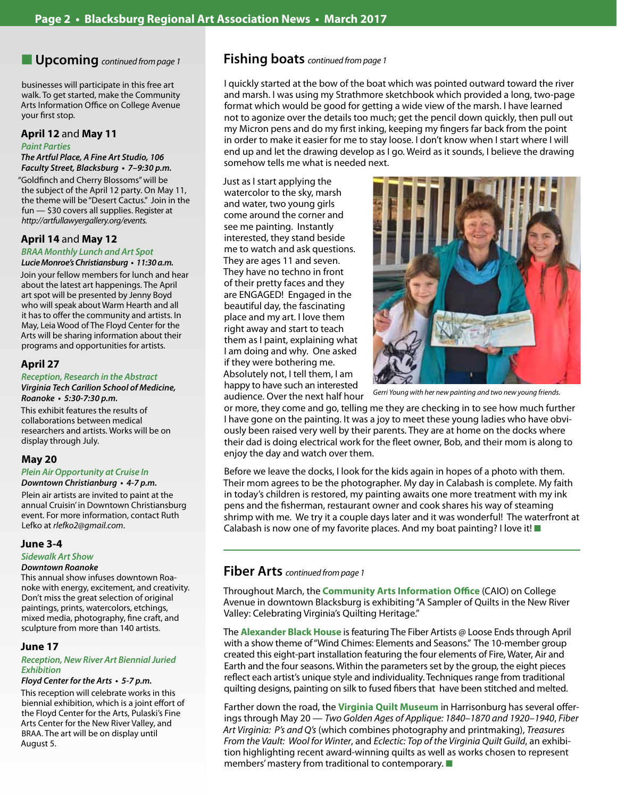## **u** Upcoming *continued from page 1*

businesses will participate in this free art walk. To get started, make the Community Arts Information Office on College Avenue your first stop.

#### **April 12** and **May 11**

#### **Paint Parties**

## **The Artful Place, A Fine Art Studio, 106**

**Faculty Street, Blacksburg • 7–9:30 p.m.** "Goldfinch and Cherry Blossoms" will be the subject of the April 12 party. On May 11, the theme will be "Desert Cactus." Join in the fun — \$30 covers all supplies. Register at *http://artfullawyergallery.org/events.*

#### **April 14** and **May 12**

#### **BRAA Monthly Lunch and Art Spot**

**Lucie Monroe's Christiansburg • 11:30 a.m.** Join your fellow members for lunch and hear

about the latest art happenings. The April art spot will be presented by Jenny Boyd who will speak about Warm Hearth and all it has to offer the community and artists. In May, Leia Wood of The Floyd Center for the Arts will be sharing information about their programs and opportunities for artists.

#### **April 27**

#### **Reception, Research in the Abstract**

*Virginia Tech Carilion School of Medicine,*  **Roanoke • 5:30-7:30 p.m.**

This exhibit features the results of collaborations between medical researchers and artists. Works will be on display through July.

### **May 20**

#### **Plein Air Opportunity at Cruise In**

#### **Downtown Christianburg • 4-7 p.m.**

Plein air artists are invited to paint at the annual Cruisin' in Downtown Christiansburg event. For more information, contact Ruth Lefko at *rlefko2@gmail.com*.

#### **June 3-4**

*Sidewalk Art Show*

#### *Downtown Roanoke*

This annual show infuses downtown Roanoke with energy, excitement, and creativity. Don't miss the great selection of original paintings, prints, watercolors, etchings, mixed media, photography, fine craft, and sculpture from more than 140 artists.

#### **June 17**

#### **Reception, New River Art Biennial Juried**  *Exhibition*

#### **Floyd Center for the Arts • 5-7 p.m.**

This reception will celebrate works in this biennial exhibition, which is a joint effort of the Floyd Center for the Arts, Pulaski's Fine Arts Center for the New River Valley, and BRAA. The art will be on display until August 5.

### **Fishing boats** *continued from page 1*

I quickly started at the bow of the boat which was pointed outward toward the river and marsh. I was using my Strathmore sketchbook which provided a long, two-page format which would be good for getting a wide view of the marsh. I have learned not to agonize over the details too much; get the pencil down quickly, then pull out my Micron pens and do my first inking, keeping my fingers far back from the point in order to make it easier for me to stay loose. I don't know when I start where I will end up and let the drawing develop as I go. Weird as it sounds, I believe the drawing somehow tells me what is needed next.

Just as I start applying the watercolor to the sky, marsh and water, two young girls come around the corner and see me painting. Instantly interested, they stand beside me to watch and ask questions. They are ages 11 and seven. They have no techno in front of their pretty faces and they are ENGAGED! Engaged in the beautiful day, the fascinating place and my art. I love them right away and start to teach them as I paint, explaining what I am doing and why. One asked if they were bothering me. Absolutely not, I tell them, I am happy to have such an interested audience. Over the next half hour



*Gerri Young with her new painting and two new young friends.*

or more, they come and go, telling me they are checking in to see how much further I have gone on the painting. It was a joy to meet these young ladies who have obviously been raised very well by their parents. They are at home on the docks where their dad is doing electrical work for the fleet owner, Bob, and their mom is along to enjoy the day and watch over them.

Before we leave the docks, I look for the kids again in hopes of a photo with them. Their mom agrees to be the photographer. My day in Calabash is complete. My faith in today's children is restored, my painting awaits one more treatment with my ink pens and the fisherman, restaurant owner and cook shares his way of steaming shrimp with me. We try it a couple days later and it was wonderful! The waterfront at Calabash is now one of my favorite places. And my boat painting? I love it!  $\blacksquare$ 

## **Fiber Arts** *continued from page 1*

Throughout March, the **Community Arts Information Office** (CAIO) on College Avenue in downtown Blacksburg is exhibiting "A Sampler of Quilts in the New River Valley: Celebrating Virginia's Quilting Heritage."

The **Alexander Black House** is featuring The Fiber Artists @ Loose Ends through April with a show theme of "Wind Chimes: Elements and Seasons." The 10-member group created this eight-part installation featuring the four elements of Fire, Water, Air and Earth and the four seasons. Within the parameters set by the group, the eight pieces reflect each artist's unique style and individuality. Techniques range from traditional quilting designs, painting on silk to fused fibers that have been stitched and melted.

Farther down the road, the **Virginia Quilt Museum** in Harrisonburg has several offerings through May 20 — *Two Golden Ages of Applique: 1840–1870 and 1920–1940*, *Fiber Art Virginia: P's and Q's* (which combines photography and printmaking), *Treasures From the Vault: Wool for Winter*, and *Eclectic: Top of the Virginia Quilt Guild*, an exhibition highlighting recent award-winning quilts as well as works chosen to represent members' mastery from traditional to contemporary.  $\blacksquare$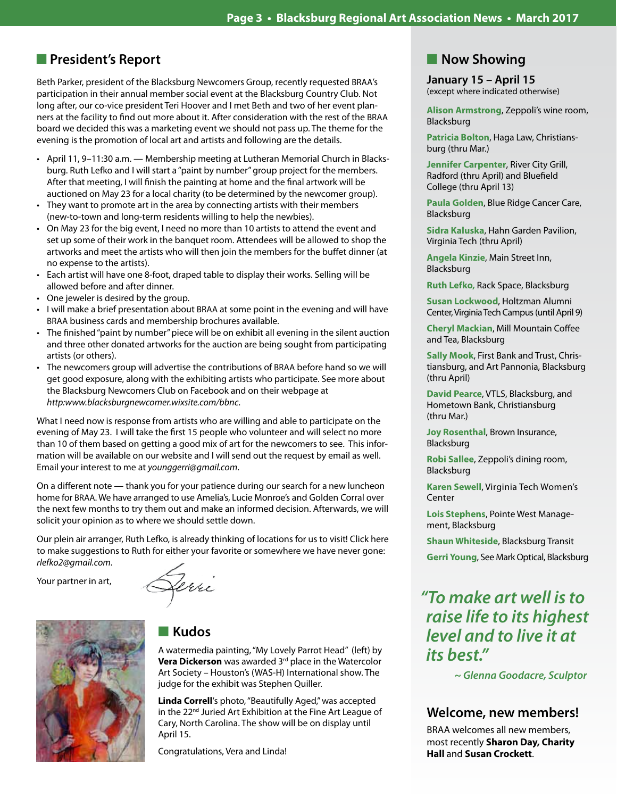## **n** President's Report

Beth Parker, president of the Blacksburg Newcomers Group, recently requested BRAA's participation in their annual member social event at the Blacksburg Country Club. Not long after, our co-vice president Teri Hoover and I met Beth and two of her event planners at the facility to find out more about it. After consideration with the rest of the BRAA board we decided this was a marketing event we should not pass up. The theme for the evening is the promotion of local art and artists and following are the details.

- • April 11, 9–11:30 a.m. Membership meeting at Lutheran Memorial Church in Blacksburg. Ruth Lefko and I will start a "paint by number" group project for the members. After that meeting, I will finish the painting at home and the final artwork will be auctioned on May 23 for a local charity (to be determined by the newcomer group).
- They want to promote art in the area by connecting artists with their members (new-to-town and long-term residents willing to help the newbies).
- • On May 23 for the big event, I need no more than 10 artists to attend the event and set up some of their work in the banquet room. Attendees will be allowed to shop the artworks and meet the artists who will then join the members for the buffet dinner (at no expense to the artists).
- • Each artist will have one 8-foot, draped table to display their works. Selling will be allowed before and after dinner.
- One jeweler is desired by the group.
- I will make a brief presentation about BRAA at some point in the evening and will have BRAA business cards and membership brochures available.
- • The finished"paint by number"piece will be on exhibit all evening in the silent auction and three other donated artworks for the auction are being sought from participating artists (or others).
- • The newcomers group will advertise the contributions of BRAA before hand so we will get good exposure, along with the exhibiting artists who participate. See more about the Blacksburg Newcomers Club on Facebook and on their webpage at *http:www.blacksburgnewcomer.wixsite.com/bbnc*.

What I need now is response from artists who are willing and able to participate on the evening of May 23. I will take the first 15 people who volunteer and will select no more than 10 of them based on getting a good mix of art for the newcomers to see. This information will be available on our website and I will send out the request by email as well. Email your interest to me at *younggerri@gmail.com*.

On a different note — thank you for your patience during our search for a new luncheon home for BRAA. We have arranged to use Amelia's, Lucie Monroe's and Golden Corral over the next few months to try them out and make an informed decision. Afterwards, we will solicit your opinion as to where we should settle down.

Our plein air arranger, Ruth Lefko, is already thinking of locations for us to visit! Click here to make suggestions to Ruth for either your favorite or somewhere we have never gone: *rlefko2@gmail.com*.

Your partner in art,

ferri



## **n** Kudos

A watermedia painting, "My Lovely Parrot Head" (left) by **Vera Dickerson** was awarded 3<sup>rd</sup> place in the Watercolor Art Society – Houston's (WAS-H) International show. The judge for the exhibit was Stephen Quiller.

**Linda Correll**'s photo, "Beautifully Aged," was accepted in the 22<sup>nd</sup> Juried Art Exhibition at the Fine Art League of Cary, North Carolina. The show will be on display until April 15.

Congratulations, Vera and Linda!

## **Now Showing**

**January 15 – April 15** (except where indicated otherwise)

**Alison Armstrong**, Zeppoli's wine room, Blacksburg

**Patricia Bolton**, Haga Law, Christiansburg (thru Mar.)

**Jennifer Carpenter**, River City Grill, Radford (thru April) and Bluefield College (thru April 13)

**Paula Golden**, Blue Ridge Cancer Care, Blacksburg

**Sidra Kaluska**, Hahn Garden Pavilion, Virginia Tech (thru April)

**Angela Kinzie**, Main Street Inn, Blacksburg

**Ruth Lefko,** Rack Space, Blacksburg

**Susan Lockwood**, Holtzman Alumni Center, Virginia Tech Campus (until April 9)

**Cheryl Mackian**, Mill Mountain Coffee and Tea, Blacksburg

**Sally Mook**, First Bank and Trust, Christiansburg, and Art Pannonia, Blacksburg (thru April)

**David Pearce**, VTLS, Blacksburg, and Hometown Bank, Christiansburg (thru Mar.)

**Joy Rosenthal**, Brown Insurance, Blacksburg

**Robi Sallee**, Zeppoli's dining room, Blacksburg

**Karen Sewell**, Virginia Tech Women's **Center** 

**Lois Stephens**, Pointe West Management, Blacksburg

**Shaun Whiteside**, Blacksburg Transit

**Gerri Young**, See Mark Optical, Blacksburg

# *"To make art well is to raise life to its highest level and to live it at*  **its best."**

 **~ Glenna Goodacre, Sculptor**

## **Welcome, new members!**

BRAA welcomes all new members, most recently **Sharon Day, Charity Hall** and **Susan Crockett**.